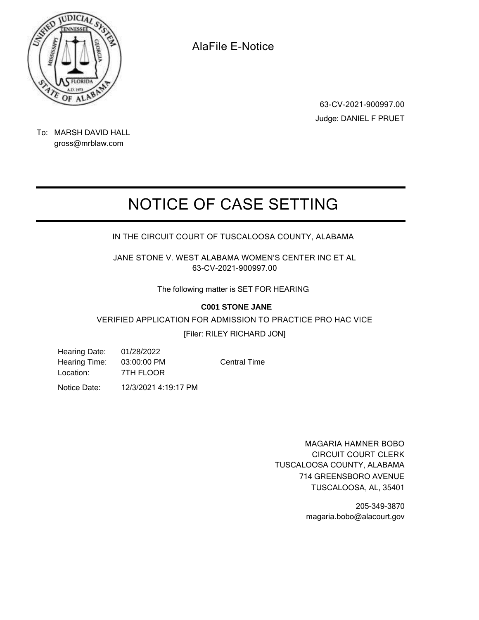

**63-CV-2021-900997.00** Judge: DANIEL F PRUET

To: MARSH DAVID HALL gross@mrblaw.com

## **NOTICE OF CASE SETTING**

**IN THE CIRCUIT COURT OF TUSCALOOSA COUNTY, ALABAMA**

**JANE STONE V. WEST ALABAMA WOMEN'S CENTER INC ET AL 63-CV-2021-900997.00**

The following matter is SET FOR HEARING

#### **C001 STONE JANE**

**VERIFIED APPLICATION FOR ADMISSION TO PRACTICE PRO HAC VICE**

[Filer: RILEY RICHARD JON]

Hearing Date: 01/28/2022 Hearing Time: 03:00:00 PM Location: 7TH FLOOR

Central Time

Notice Date: 12/3/2021 4:19:17 PM

**MAGARIA HAMNER BOBO CIRCUIT COURT CLERK** TUSCALOOSA COUNTY, ALABAMA TUSCALOOSA, AL, 35401 714 GREENSBORO AVENUE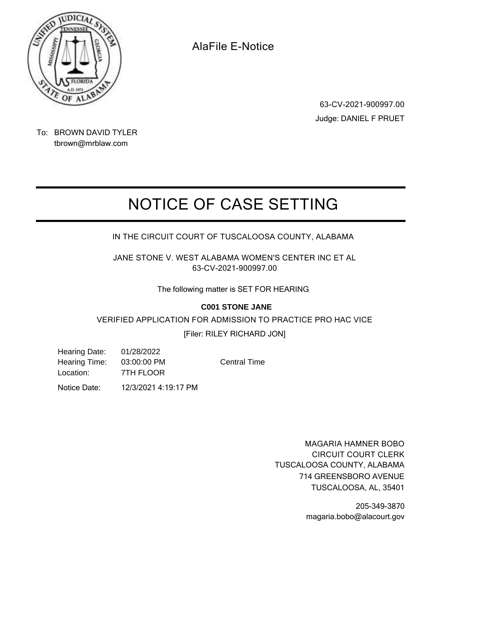

**63-CV-2021-900997.00** Judge: DANIEL F PRUET

To: BROWN DAVID TYLER tbrown@mrblaw.com

## **NOTICE OF CASE SETTING**

**IN THE CIRCUIT COURT OF TUSCALOOSA COUNTY, ALABAMA**

**JANE STONE V. WEST ALABAMA WOMEN'S CENTER INC ET AL 63-CV-2021-900997.00**

The following matter is SET FOR HEARING

#### **C001 STONE JANE**

**VERIFIED APPLICATION FOR ADMISSION TO PRACTICE PRO HAC VICE**

[Filer: RILEY RICHARD JON]

Hearing Date: 01/28/2022 Hearing Time: 03:00:00 PM Location: 7TH FLOOR

Central Time

Notice Date: 12/3/2021 4:19:17 PM

**MAGARIA HAMNER BOBO CIRCUIT COURT CLERK** TUSCALOOSA COUNTY, ALABAMA TUSCALOOSA, AL, 35401 714 GREENSBORO AVENUE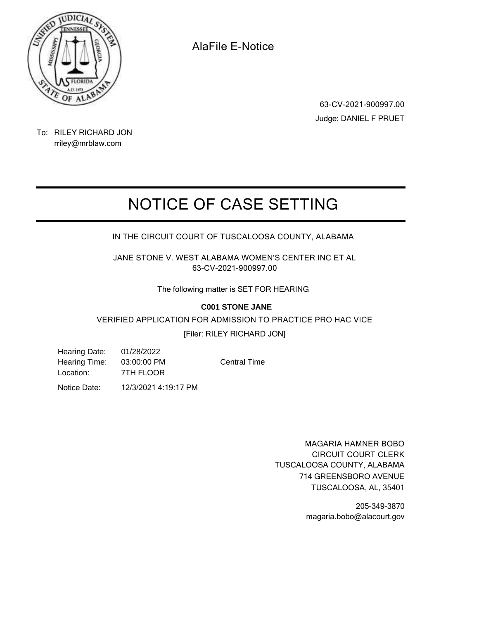

**63-CV-2021-900997.00** Judge: DANIEL F PRUET

#### To: RILEY RICHARD JON rriley@mrblaw.com

# **NOTICE OF CASE SETTING**

### **IN THE CIRCUIT COURT OF TUSCALOOSA COUNTY, ALABAMA**

**JANE STONE V. WEST ALABAMA WOMEN'S CENTER INC ET AL 63-CV-2021-900997.00**

The following matter is SET FOR HEARING

#### **C001 STONE JANE**

#### **VERIFIED APPLICATION FOR ADMISSION TO PRACTICE PRO HAC VICE**

#### [Filer: RILEY RICHARD JON]

Hearing Date: 01/28/2022 Hearing Time: 03:00:00 PM Location: 7TH FLOOR

Central Time

Notice Date: 12/3/2021 4:19:17 PM

**MAGARIA HAMNER BOBO CIRCUIT COURT CLERK** TUSCALOOSA COUNTY, ALABAMA TUSCALOOSA, AL, 35401 714 GREENSBORO AVENUE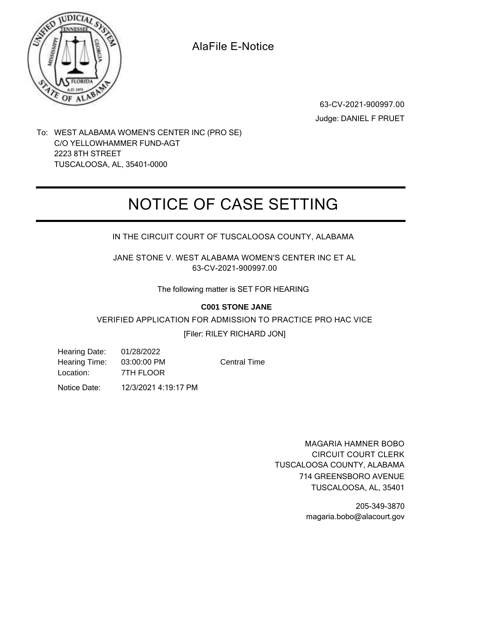

**63-CV-2021-900997.00** Judge: DANIEL F PRUET

To: WEST ALABAMA WOMEN'S CENTER INC (PRO SE) C/O YELLOWHAMMER FUND-AGT 2223 8TH STREET TUSCALOOSA, AL, 35401-0000

### **NOTICE OF CASE SETTING**

**IN THE CIRCUIT COURT OF TUSCALOOSA COUNTY, ALABAMA**

**JANE STONE V. WEST ALABAMA WOMEN'S CENTER INC ET AL 63-CV-2021-900997.00**

The following matter is SET FOR HEARING

#### **C001 STONE JANE**

**VERIFIED APPLICATION FOR ADMISSION TO PRACTICE PRO HAC VICE**

[Filer: RILEY RICHARD JON]

Hearing Date: 01/28/2022 Hearing Time: 03:00:00 PM Location: 7TH FLOOR

Central Time

Notice Date: 12/3/2021 4:19:17 PM

**MAGARIA HAMNER BOBO CIRCUIT COURT CLERK** TUSCALOOSA COUNTY, ALABAMA TUSCALOOSA, AL, 35401 714 GREENSBORO AVENUE